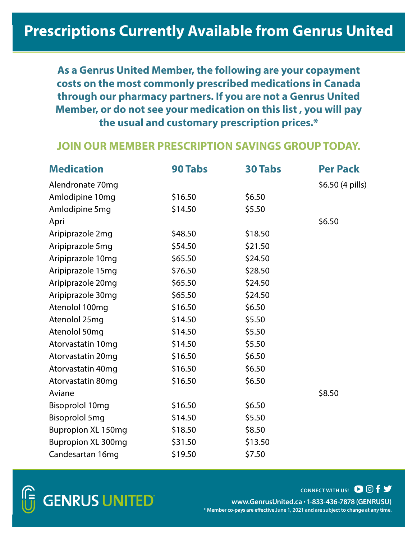**As a Genrus United Member, the following are your copayment costs on the most commonly prescribed medications in Canada through our pharmacy partners. If you are not a Genrus United Member, or do not see your medication on this list , you will pay the usual and customary prescription prices.\***

#### **JOIN OUR MEMBER PRESCRIPTION SAVINGS GROUP TODAY.**

| <b>Medication</b>         | <b>90 Tabs</b> | <b>30 Tabs</b> | <b>Per Pack</b>           |
|---------------------------|----------------|----------------|---------------------------|
| Alendronate 70mg          |                |                | $$6.50(4 \text{ pills})$$ |
| Amlodipine 10mg           | \$16.50        | \$6.50         |                           |
| Amlodipine 5mg            | \$14.50        | \$5.50         |                           |
| Apri                      |                |                | \$6.50                    |
| Aripiprazole 2mg          | \$48.50        | \$18.50        |                           |
| Aripiprazole 5mg          | \$54.50        | \$21.50        |                           |
| Aripiprazole 10mg         | \$65.50        | \$24.50        |                           |
| Aripiprazole 15mg         | \$76.50        | \$28.50        |                           |
| Aripiprazole 20mg         | \$65.50        | \$24.50        |                           |
| Aripiprazole 30mg         | \$65.50        | \$24.50        |                           |
| Atenolol 100mg            | \$16.50        | \$6.50         |                           |
| Atenolol 25mg             | \$14.50        | \$5.50         |                           |
| Atenolol 50mg             | \$14.50        | \$5.50         |                           |
| Atorvastatin 10mg         | \$14.50        | \$5.50         |                           |
| Atorvastatin 20mg         | \$16.50        | \$6.50         |                           |
| Atorvastatin 40mg         | \$16.50        | \$6.50         |                           |
| Atorvastatin 80mg         | \$16.50        | \$6.50         |                           |
| Aviane                    |                |                | \$8.50                    |
| Bisoprolol 10mg           | \$16.50        | \$6.50         |                           |
| <b>Bisoprolol 5mg</b>     | \$14.50        | \$5.50         |                           |
| <b>Bupropion XL 150mg</b> | \$18.50        | \$8.50         |                           |
| <b>Bupropion XL 300mg</b> | \$31.50        | \$13.50        |                           |
| Candesartan 16mg          | \$19.50        | \$7.50         |                           |



**www.GenrusUnited.ca • 1-833-436-7878 (GENRUSU) \* Member co-pays are effective June 1, 2021 and are subject to change at any time. CONNECT WITH US! D O f y**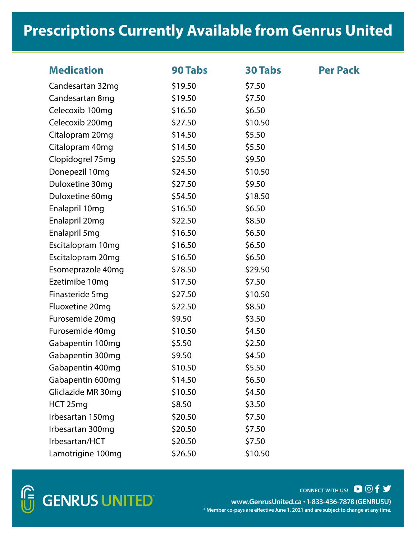| <b>Medication</b>  | <b>90 Tabs</b> | <b>30 Tabs</b> | <b>Per Pack</b> |
|--------------------|----------------|----------------|-----------------|
| Candesartan 32mg   | \$19.50        | \$7.50         |                 |
| Candesartan 8mg    | \$19.50        | \$7.50         |                 |
| Celecoxib 100mg    | \$16.50        | \$6.50         |                 |
| Celecoxib 200mg    | \$27.50        | \$10.50        |                 |
| Citalopram 20mg    | \$14.50        | \$5.50         |                 |
| Citalopram 40mg    | \$14.50        | \$5.50         |                 |
| Clopidogrel 75mg   | \$25.50        | \$9.50         |                 |
| Donepezil 10mg     | \$24.50        | \$10.50        |                 |
| Duloxetine 30mg    | \$27.50        | \$9.50         |                 |
| Duloxetine 60mg    | \$54.50        | \$18.50        |                 |
| Enalapril 10mg     | \$16.50        | \$6.50         |                 |
| Enalapril 20mg     | \$22.50        | \$8.50         |                 |
| Enalapril 5mg      | \$16.50        | \$6.50         |                 |
| Escitalopram 10mg  | \$16.50        | \$6.50         |                 |
| Escitalopram 20mg  | \$16.50        | \$6.50         |                 |
| Esomeprazole 40mg  | \$78.50        | \$29.50        |                 |
| Ezetimibe 10mg     | \$17.50        | \$7.50         |                 |
| Finasteride 5mg    | \$27.50        | \$10.50        |                 |
| Fluoxetine 20mg    | \$22.50        | \$8.50         |                 |
| Furosemide 20mg    | \$9.50         | \$3.50         |                 |
| Furosemide 40mg    | \$10.50        | \$4.50         |                 |
| Gabapentin 100mg   | \$5.50         | \$2.50         |                 |
| Gabapentin 300mg   | \$9.50         | \$4.50         |                 |
| Gabapentin 400mg   | \$10.50        | \$5.50         |                 |
| Gabapentin 600mg   | \$14.50        | \$6.50         |                 |
| Gliclazide MR 30mg | \$10.50        | \$4.50         |                 |
| HCT 25mg           | \$8.50         | \$3.50         |                 |
| Irbesartan 150mg   | \$20.50        | \$7.50         |                 |
| Irbesartan 300mg   | \$20.50        | \$7.50         |                 |
| Irbesartan/HCT     | \$20.50        | \$7.50         |                 |
| Lamotrigine 100mg  | \$26.50        | \$10.50        |                 |

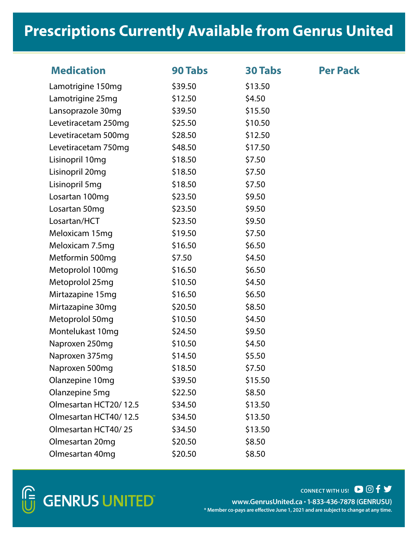| <b>Medication</b>     | <b>90 Tabs</b> | <b>30 Tabs</b> | <b>Per Pack</b> |
|-----------------------|----------------|----------------|-----------------|
| Lamotrigine 150mg     | \$39.50        | \$13.50        |                 |
| Lamotrigine 25mg      | \$12.50        | \$4.50         |                 |
| Lansoprazole 30mg     | \$39.50        | \$15.50        |                 |
| Levetiracetam 250mg   | \$25.50        | \$10.50        |                 |
| Levetiracetam 500mg   | \$28.50        | \$12.50        |                 |
| Levetiracetam 750mg   | \$48.50        | \$17.50        |                 |
| Lisinopril 10mg       | \$18.50        | \$7.50         |                 |
| Lisinopril 20mg       | \$18.50        | \$7.50         |                 |
| Lisinopril 5mg        | \$18.50        | \$7.50         |                 |
| Losartan 100mg        | \$23.50        | \$9.50         |                 |
| Losartan 50mg         | \$23.50        | \$9.50         |                 |
| Losartan/HCT          | \$23.50        | \$9.50         |                 |
| Meloxicam 15mg        | \$19.50        | \$7.50         |                 |
| Meloxicam 7.5mg       | \$16.50        | \$6.50         |                 |
| Metformin 500mg       | \$7.50         | \$4.50         |                 |
| Metoprolol 100mg      | \$16.50        | \$6.50         |                 |
| Metoprolol 25mg       | \$10.50        | \$4.50         |                 |
| Mirtazapine 15mg      | \$16.50        | \$6.50         |                 |
| Mirtazapine 30mg      | \$20.50        | \$8.50         |                 |
| Metoprolol 50mg       | \$10.50        | \$4.50         |                 |
| Montelukast 10mg      | \$24.50        | \$9.50         |                 |
| Naproxen 250mg        | \$10.50        | \$4.50         |                 |
| Naproxen 375mg        | \$14.50        | \$5.50         |                 |
| Naproxen 500mg        | \$18.50        | \$7.50         |                 |
| Olanzepine 10mg       | \$39.50        | \$15.50        |                 |
| Olanzepine 5mg        | \$22.50        | \$8.50         |                 |
| Olmesartan HCT20/12.5 | \$34.50        | \$13.50        |                 |
| Olmesartan HCT40/12.5 | \$34.50        | \$13.50        |                 |
| Olmesartan HCT40/25   | \$34.50        | \$13.50        |                 |
| Olmesartan 20mg       | \$20.50        | \$8.50         |                 |
| Olmesartan 40mg       | \$20.50        | \$8.50         |                 |

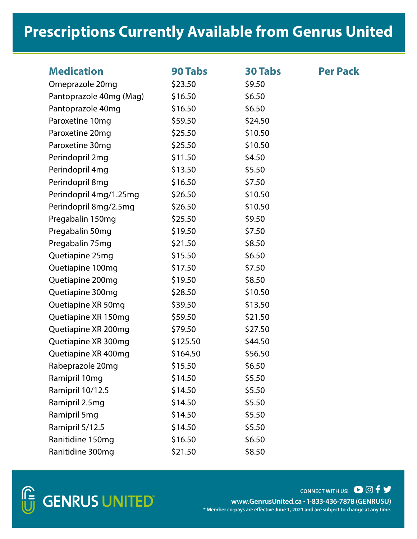| <b>Medication</b>       | <b>90 Tabs</b> | <b>30 Tabs</b> | <b>Per Pack</b> |
|-------------------------|----------------|----------------|-----------------|
| Omeprazole 20mg         | \$23.50        | \$9.50         |                 |
| Pantoprazole 40mg (Mag) | \$16.50        | \$6.50         |                 |
| Pantoprazole 40mg       | \$16.50        | \$6.50         |                 |
| Paroxetine 10mg         | \$59.50        | \$24.50        |                 |
| Paroxetine 20mg         | \$25.50        | \$10.50        |                 |
| Paroxetine 30mg         | \$25.50        | \$10.50        |                 |
| Perindopril 2mg         | \$11.50        | \$4.50         |                 |
| Perindopril 4mg         | \$13.50        | \$5.50         |                 |
| Perindopril 8mg         | \$16.50        | \$7.50         |                 |
| Perindopril 4mg/1.25mg  | \$26.50        | \$10.50        |                 |
| Perindopril 8mg/2.5mg   | \$26.50        | \$10.50        |                 |
| Pregabalin 150mg        | \$25.50        | \$9.50         |                 |
| Pregabalin 50mg         | \$19.50        | \$7.50         |                 |
| Pregabalin 75mg         | \$21.50        | \$8.50         |                 |
| Quetiapine 25mg         | \$15.50        | \$6.50         |                 |
| Quetiapine 100mg        | \$17.50        | \$7.50         |                 |
| Quetiapine 200mg        | \$19.50        | \$8.50         |                 |
| Quetiapine 300mg        | \$28.50        | \$10.50        |                 |
| Quetiapine XR 50mg      | \$39.50        | \$13.50        |                 |
| Quetiapine XR 150mg     | \$59.50        | \$21.50        |                 |
| Quetiapine XR 200mg     | \$79.50        | \$27.50        |                 |
| Quetiapine XR 300mg     | \$125.50       | \$44.50        |                 |
| Quetiapine XR 400mg     | \$164.50       | \$56.50        |                 |
| Rabeprazole 20mg        | \$15.50        | \$6.50         |                 |
| Ramipril 10mg           | \$14.50        | \$5.50         |                 |
| Ramipril 10/12.5        | \$14.50        | \$5.50         |                 |
| Ramipril 2.5mg          | \$14.50        | \$5.50         |                 |
| Ramipril 5mg            | \$14.50        | \$5.50         |                 |
| Ramipril 5/12.5         | \$14.50        | \$5.50         |                 |
| Ranitidine 150mg        | \$16.50        | \$6.50         |                 |
| Ranitidine 300mg        | \$21.50        | \$8.50         |                 |

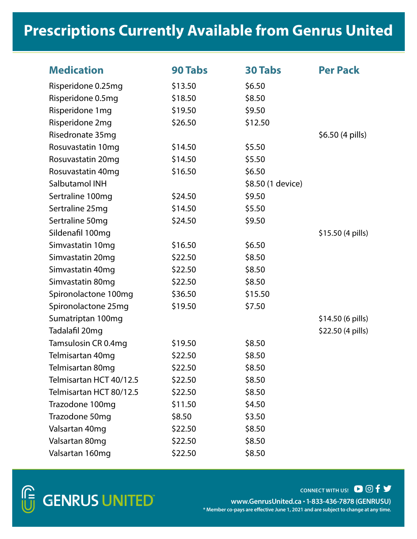| <b>Medication</b>       | <b>90 Tabs</b> | <b>30 Tabs</b>    | <b>Per Pack</b>   |
|-------------------------|----------------|-------------------|-------------------|
| Risperidone 0.25mg      | \$13.50        | \$6.50            |                   |
| Risperidone 0.5mg       | \$18.50        | \$8.50            |                   |
| Risperidone 1mg         | \$19.50        | \$9.50            |                   |
| Risperidone 2mg         | \$26.50        | \$12.50           |                   |
| Risedronate 35mg        |                |                   | \$6.50 (4 pills)  |
| Rosuvastatin 10mg       | \$14.50        | \$5.50            |                   |
| Rosuvastatin 20mg       | \$14.50        | \$5.50            |                   |
| Rosuvastatin 40mg       | \$16.50        | \$6.50            |                   |
| Salbutamol INH          |                | \$8.50 (1 device) |                   |
| Sertraline 100mg        | \$24.50        | \$9.50            |                   |
| Sertraline 25mg         | \$14.50        | \$5.50            |                   |
| Sertraline 50mg         | \$24.50        | \$9.50            |                   |
| Sildenafil 100mg        |                |                   | \$15.50 (4 pills) |
| Simvastatin 10mg        | \$16.50        | \$6.50            |                   |
| Simvastatin 20mg        | \$22.50        | \$8.50            |                   |
| Simvastatin 40mg        | \$22.50        | \$8.50            |                   |
| Simvastatin 80mg        | \$22.50        | \$8.50            |                   |
| Spironolactone 100mg    | \$36.50        | \$15.50           |                   |
| Spironolactone 25mg     | \$19.50        | \$7.50            |                   |
| Sumatriptan 100mg       |                |                   | \$14.50 (6 pills) |
| Tadalafil 20mg          |                |                   | \$22.50 (4 pills) |
| Tamsulosin CR 0.4mg     | \$19.50        | \$8.50            |                   |
| Telmisartan 40mg        | \$22.50        | \$8.50            |                   |
| Telmisartan 80mq        | \$22.50        | \$8.50            |                   |
| Telmisartan HCT 40/12.5 | \$22.50        | \$8.50            |                   |
| Telmisartan HCT 80/12.5 | \$22.50        | \$8.50            |                   |
| Trazodone 100mg         | \$11.50        | \$4.50            |                   |
| Trazodone 50mg          | \$8.50         | \$3.50            |                   |
| Valsartan 40mg          | \$22.50        | \$8.50            |                   |
| Valsartan 80mg          | \$22.50        | \$8.50            |                   |
| Valsartan 160mg         | \$22.50        | \$8.50            |                   |